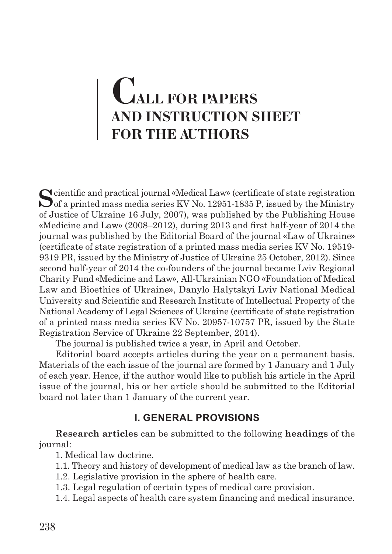# **CALL FOR PAPERS AND INSTRUCTION SHEET FOR THE AUTHORS**

Solutific and practical journal «Medical Law» (certificate of state registration of a printed mass media series KV No. 12951-1835 P, issued by the Ministry of Justice of Ukraine 16 July, 2007), was published by the Publishing House «Medicine and Law» (2008–2012), during 2013 and first half-year of 2014 the journal was published by the Editorial Board of the journal «Law of Ukraine» (certificate of state registration of a printed mass media series KV No. 19519- 9319 PR, issued by the Ministry of Justice of Ukraine 25 October, 2012). Since second half-year of 2014 the co-founders of the journal became Lviv Regional Charity Fund «Medicine and Law», All-Ukrainian NGO «Foundation of Medical Law and Bioethics of Ukraine», Danylo Halytskyi Lviv National Medical University and Scientific and Research Institute of Intellectual Property of the National Academy of Legal Sciences of Ukraine (certificate of state registration of a printed mass media series KV No. 20957-10757 PR, issued by the State Registration Service of Ukraine 22 September, 2014).

The journal is published twice a year, in April and October.

Editorial board accepts articles during the year on a permanent basis. Materials of the each issue of the journal are formed by 1 January and 1 July of each year. Hence, if the author would like to publish his article in the April issue of the journal, his or her article should be submitted to the Editorial board not later than 1 January of the current year.

#### **I. GENERAL PROVISIONS**

**Research articles** can be submitted to the following **headings** of the journal:

1. Medical law doctrine.

- 1.1. Theory and history of development of medical law as the branch of law.
- 1.2. Legislative provision in the sphere of health care.
- 1.3. Legal regulation of certain types of medical care provision.

1.4. Legal aspects of health care system financing and medical insurance.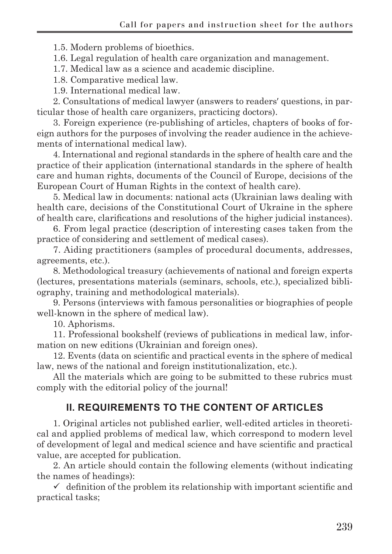1.5. Modern problems of bioethics.

1.6. Legal regulation of health care organization and management.

1.7. Medical law as a science and academic discipline.

1.8. Comparative medical law.

1.9. International medical law.

2. Consultations of medical lawyer (answers to readers′ questions, in particular those of health care organizers, practicing doctors).

3. Foreign experience (re-publishing of articles, chapters of books of foreign authors for the purposes of involving the reader audience in the achievements of international medical law).

4. International and regional standards in the sphere of health care and the practice of their application (international standards in the sphere of health care and human rights, documents of the Council of Europe, decisions of the European Court of Human Rights in the context of health care).

5. Medical law in documents: national acts (Ukrainian laws dealing with health care, decisions of the Constitutional Court of Ukraine in the sphere of health care, clarifications and resolutions of the higher judicial instances).

6. From legal practice (description of interesting cases taken from the practice of considering and settlement of medical cases).

7. Aiding practitioners (samples of procedural documents, addresses, agreements, etc.).

8. Methodological treasury (achievements of national and foreign experts (lectures, presentations materials (seminars, schools, etc.), specialized bibliography, training and methodological materials).

9. Persons (interviews with famous personalities or biographies of people well-known in the sphere of medical law).

10. Aphorisms.

11. Professional bookshelf (reviews of publications in medical law, information on new editions (Ukrainian and foreign ones).

12. Events (data on scientific and practical events in the sphere of medical law, news of the national and foreign institutionalization, etc.).

All the materials which are going to be submitted to these rubrics must comply with the editorial policy of the journal!

## **II. REQUIREMENTS TO THE CONTENT OF ARTICLES**

1. Original articles not published earlier, well-edited articles in theoretical and applied problems of medical law, which correspond to modern level of development of legal and medical science and have scientific and practical value, are accepted for publication.

2. An article should contain the following elements (without indicating the names of headings):

 $\checkmark$  definition of the problem its relationship with important scientific and practical tasks;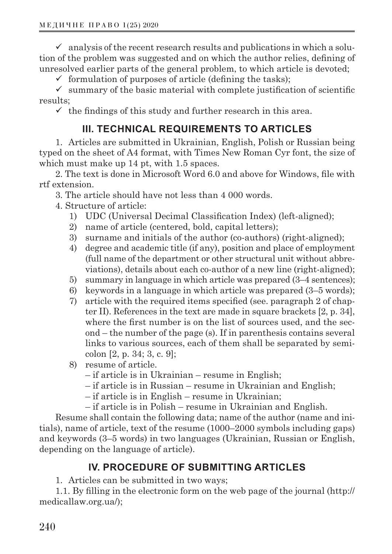$\checkmark$  analysis of the recent research results and publications in which a solution of the problem was suggested and on which the author relies, defining of unresolved earlier parts of the general problem, to which article is devoted;

 $\checkmark$  formulation of purposes of article (defining the tasks);

 $\checkmark$  summary of the basic material with complete justification of scientific results;

 $\checkmark$  the findings of this study and further research in this area.

### **III. TECHNICAL REQUIREMENTS TO ARTICLES**

1. Articles are submitted in Ukrainian, English, Polish or Russian being typed on the sheet of А4 format, with Times New Roman Cyr font, the size of which must make up 14 pt, with 1.5 spaces.

2. The text is done in Microsoft Word 6.0 and above for Windows, file with rtf extension.

3. The article should have not less than 4 000 words.

- 4. Structure of article:
	- 1) UDC (Universal Decimal Classification Index) (left-aligned);
	- 2) name of article (centered, bold, capital letters);
	- 3) surname and initials of the author (co-authors) (right-aligned);
	- 4) degree and academic title (if any), position and place of employment (full name of the department or other structural unit without abbreviations), details about each co-author of a new line (right-aligned);
	- 5) summary in language in which article was prepared (3–4 sentences);
	- 6) keywords in a language in which article was prepared (3–5 words);
	- 7) article with the required items specified (see. paragraph 2 of chapter ІІ). References in the text are made in square brackets [2, p. 34], where the first number is on the list of sources used, and the second – the number of the page (s). If in parenthesis contains several links to various sources, each of them shall be separated by semicolon [2, p. 34; 3, c. 9];
	- 8) resume of article.
		- if article is in Ukrainian resume in English;
		- if article is in Russian resume in Ukrainian and English;
		- if article is in English resume in Ukrainian;
		- if article is in Polish resume in Ukrainian and English.

Resume shall contain the following data; name of the author (name and initials), name of article, text of the resume (1000–2000 symbols including gaps) and keywords (3–5 words) in two languages (Ukrainian, Russian or English, depending on the language of article).

#### **IV. PROCEDURE OF SUBMITTING ARTICLES**

1. Articles can be submitted in two ways;

1.1. By filling in the electronic form on the web page of the journal (http:// medicallaw.org.ua/);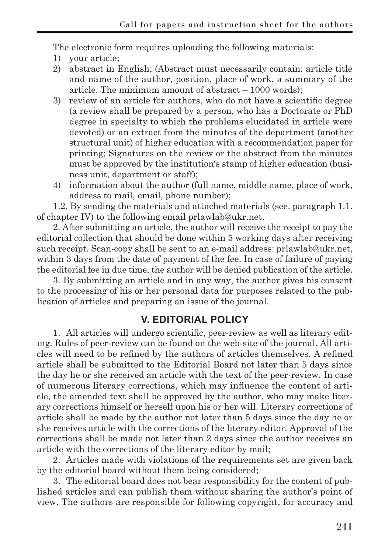The electronic form requires uploading the following materials:

- 1) your article;
- 2) abstract in English; (Abstract must necessarily contain: article title and name of the author, position, place of work, a summary of the article. The minimum amount of abstract – 1000 words);
- 3) review of an article for authors, who do not have a scientific degree (a review shall be prepared by a person, who has a Doctorate or PhD degree in specialty to which the problems elucidated in article were devoted) or an extract from the minutes of the department (another structural unit) of higher education with a recommendation paper for printing; Signatures on the review or the abstract from the minutes must be approved by the institution′s stamp of higher education (business unit, department or staff);
- 4) information about the author (full name, middle name, place of work, address to mail, email, phone number);

1.2. By sending the materials and attached materials (see. paragraph 1.1. of chapter IV) to the following email prlawlab@ukr.net.

2. After submitting an article, the author will receive the receipt to pay the editorial collection that should be done within 5 working days after receiving such receipt. Scan-copy shall be sent to an e-mail address: prlawlab@ukr.net, within 3 days from the date of payment of the fee. In case of failure of paying the editorial fee in due time, the author will be denied publication of the article.

3. By submitting an article and in any way, the author gives his consent to the processing of his or her personal data for purposes related to the publication of articles and preparing an issue of the journal.

#### **V. EDITORIAL POLICY**

1. All articles will undergo scientific, peer-review as well as literary editing. Rules of peer-review can be found on the web-site of the journal. All articles will need to be refined by the authors of articles themselves. A refined article shall be submitted to the Editorial Board not later than 5 days since the day he or she received an article with the text of the peer-review. In case of numerous literary corrections, which may influence the content of article, the amended text shall be approved by the author, who may make literary corrections himself or herself upon his or her will. Literary corrections of article shall be made by the author not later than 5 days since the day he or she receives article with the corrections of the literary editor. Approval of the corrections shall be made not later than 2 days since the author receives an article with the corrections of the literary editor by mail;

2. Articles made with violations of the requirements set are given back by the editorial board without them being considered;

3. The editorial board does not bear responsibility for the content of published articles and can publish them without sharing the author's point of view. The authors are responsible for following copyright, for accuracy and